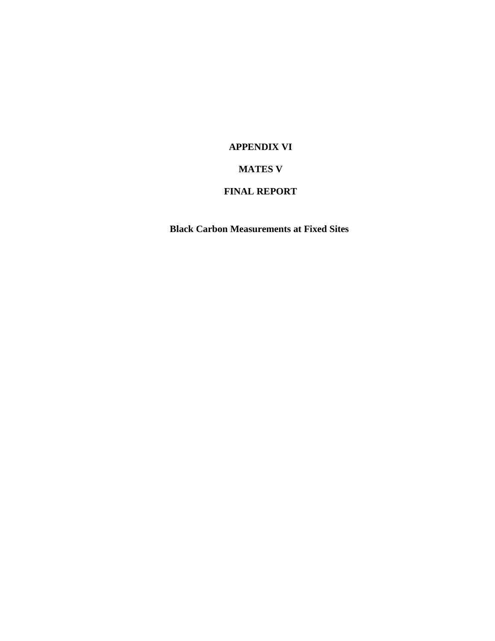## **APPENDIX VI**

## **MATES V**

## **FINAL REPORT**

**Black Carbon Measurements at Fixed Sites**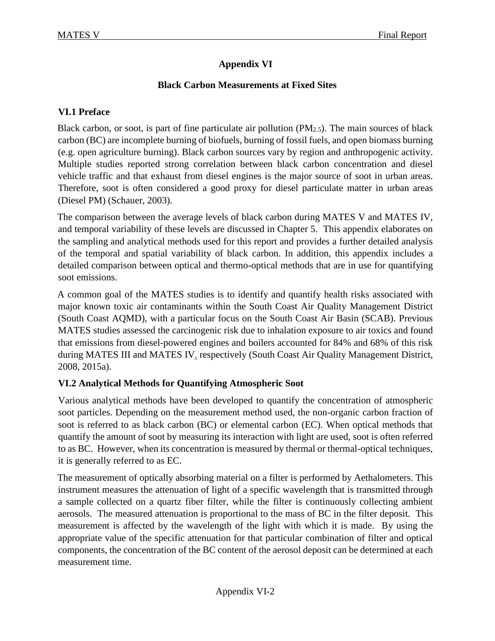## **Appendix VI**

## **Black Carbon Measurements at Fixed Sites**

## **VI.1 Preface**

Black carbon, or soot, is part of fine particulate air pollution  $(PM_{2.5})$ . The main sources of black carbon (BC) are incomplete burning of biofuels, burning of fossil fuels, and open biomass burning (e.g. open agriculture burning). Black carbon sources vary by region and anthropogenic activity. Multiple studies reported strong correlation between black carbon concentration and diesel vehicle traffic and that exhaust from diesel engines is the major source of soot in urban areas. Therefore, soot is often considered a good proxy for diesel particulate matter in urban areas (Diesel PM) (Schauer, 2003).

The comparison between the average levels of black carbon during MATES V and MATES IV, and temporal variability of these levels are discussed in Chapter 5. This appendix elaborates on the sampling and analytical methods used for this report and provides a further detailed analysis of the temporal and spatial variability of black carbon. In addition, this appendix includes a detailed comparison between optical and thermo-optical methods that are in use for quantifying soot emissions.

A common goal of the MATES studies is to identify and quantify health risks associated with major known toxic air contaminants within the South Coast Air Quality Management District (South Coast AQMD), with a particular focus on the South Coast Air Basin (SCAB). Previous MATES studies assessed the carcinogenic risk due to inhalation exposure to air toxics and found that emissions from diesel-powered engines and boilers accounted for 84% and 68% of this risk during MATES III and MATES IV, respectively (South Coast Air Quality Management District, 2008, 2015a).

## **VI.2 Analytical Methods for Quantifying Atmospheric Soot**

Various analytical methods have been developed to quantify the concentration of atmospheric soot particles. Depending on the measurement method used, the non-organic carbon fraction of soot is referred to as black carbon (BC) or elemental carbon (EC). When optical methods that quantify the amount of soot by measuring its interaction with light are used, soot is often referred to as BC. However, when its concentration is measured by thermal or thermal-optical techniques, it is generally referred to as EC.

The measurement of optically absorbing material on a filter is performed by Aethalometers. This instrument measures the attenuation of light of a specific wavelength that is transmitted through a sample collected on a quartz fiber filter, while the filter is continuously collecting ambient aerosols. The measured attenuation is proportional to the mass of BC in the filter deposit. This measurement is affected by the wavelength of the light with which it is made. By using the appropriate value of the specific attenuation for that particular combination of filter and optical components, the concentration of the BC content of the aerosol deposit can be determined at each measurement time.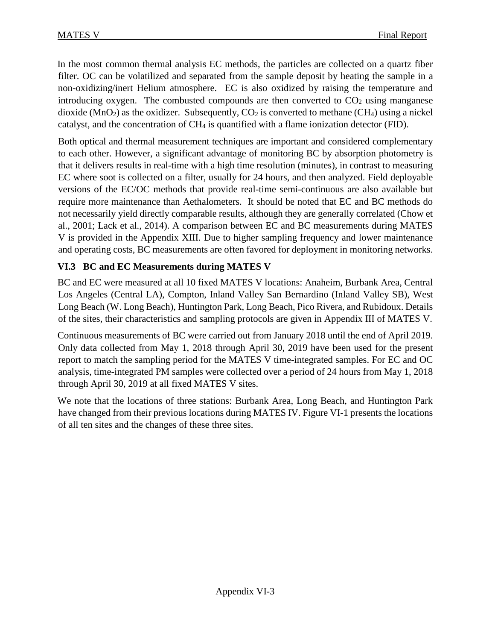In the most common thermal analysis EC methods, the particles are collected on a quartz fiber filter. OC can be volatilized and separated from the sample deposit by heating the sample in a non-oxidizing/inert Helium atmosphere. EC is also oxidized by raising the temperature and introducing oxygen. The combusted compounds are then converted to  $CO<sub>2</sub>$  using manganese dioxide ( $MnO<sub>2</sub>$ ) as the oxidizer. Subsequently,  $CO<sub>2</sub>$  is converted to methane (CH<sub>4</sub>) using a nickel catalyst, and the concentration of CH<sub>4</sub> is quantified with a flame ionization detector (FID).

Both optical and thermal measurement techniques are important and considered complementary to each other. However, a significant advantage of monitoring BC by absorption photometry is that it delivers results in real-time with a high time resolution (minutes), in contrast to measuring EC where soot is collected on a filter, usually for 24 hours, and then analyzed. Field deployable versions of the EC/OC methods that provide real-time semi-continuous are also available but require more maintenance than Aethalometers. It should be noted that EC and BC methods do not necessarily yield directly comparable results, although they are generally correlated (Chow et al., 2001; Lack et al., 2014). A comparison between EC and BC measurements during MATES V is provided in the Appendix XIII. Due to higher sampling frequency and lower maintenance and operating costs, BC measurements are often favored for deployment in monitoring networks.

# **VI.3 BC and EC Measurements during MATES V**

BC and EC were measured at all 10 fixed MATES V locations: Anaheim, Burbank Area, Central Los Angeles (Central LA), Compton, Inland Valley San Bernardino (Inland Valley SB), West Long Beach (W. Long Beach), Huntington Park, Long Beach, Pico Rivera, and Rubidoux. Details of the sites, their characteristics and sampling protocols are given in Appendix III of MATES V.

Continuous measurements of BC were carried out from January 2018 until the end of April 2019. Only data collected from May 1, 2018 through April 30, 2019 have been used for the present report to match the sampling period for the MATES V time-integrated samples. For EC and OC analysis, time-integrated PM samples were collected over a period of 24 hours from May 1, 2018 through April 30, 2019 at all fixed MATES V sites.

We note that the locations of three stations: Burbank Area, Long Beach, and Huntington Park have changed from their previous locations during MATES IV. Figure VI-1 presents the locations of all ten sites and the changes of these three sites.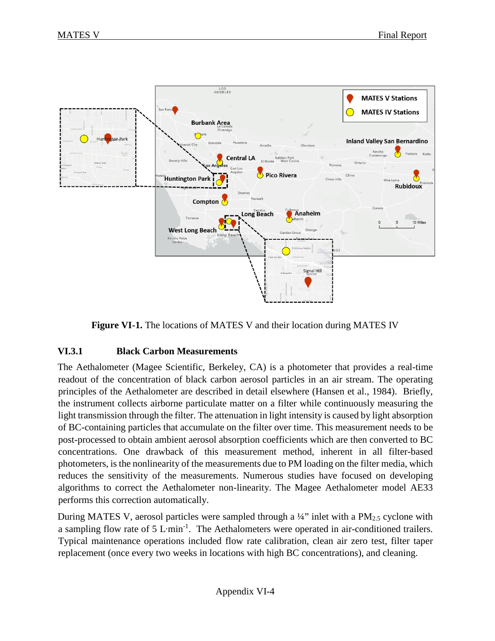



#### **VI.3.1 Black Carbon Measurements**

The Aethalometer (Magee Scientific, Berkeley, CA) is a photometer that provides a real-time readout of the concentration of black carbon aerosol particles in an air stream. The operating principles of the Aethalometer are described in detail elsewhere (Hansen et al., 1984). Briefly, the instrument collects airborne particulate matter on a filter while continuously measuring the light transmission through the filter. The attenuation in light intensity is caused by light absorption of BC-containing particles that accumulate on the filter over time. This measurement needs to be post-processed to obtain ambient aerosol absorption coefficients which are then converted to BC concentrations. One drawback of this measurement method, inherent in all filter-based photometers, is the nonlinearity of the measurements due to PM loading on the filter media, which reduces the sensitivity of the measurements. Numerous studies have focused on developing algorithms to correct the Aethalometer non-linearity. The Magee Aethalometer model AE33 performs this correction automatically.

During MATES V, aerosol particles were sampled through a  $\frac{1}{4}$ " inlet with a PM<sub>2.5</sub> cyclone with a sampling flow rate of 5 L⋅min<sup>-1</sup>. The Aethalometers were operated in air-conditioned trailers. Typical maintenance operations included flow rate calibration, clean air zero test, filter taper replacement (once every two weeks in locations with high BC concentrations), and cleaning.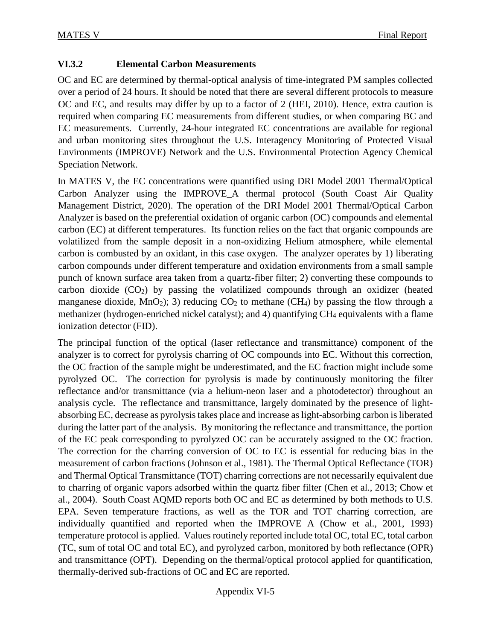## **VI.3.2 Elemental Carbon Measurements**

OC and EC are determined by thermal-optical analysis of time-integrated PM samples collected over a period of 24 hours. It should be noted that there are several different protocols to measure OC and EC, and results may differ by up to a factor of 2 (HEI, 2010). Hence, extra caution is required when comparing EC measurements from different studies, or when comparing BC and EC measurements. Currently, 24-hour integrated EC concentrations are available for regional and urban monitoring sites throughout the U.S. Interagency Monitoring of Protected Visual Environments (IMPROVE) Network and the U.S. Environmental Protection Agency Chemical Speciation Network.

In MATES V, the EC concentrations were quantified using DRI Model 2001 Thermal/Optical Carbon Analyzer using the IMPROVE\_A thermal protocol (South Coast Air Quality Management District, 2020). The operation of the DRI Model 2001 Thermal/Optical Carbon Analyzer is based on the preferential oxidation of organic carbon (OC) compounds and elemental carbon (EC) at different temperatures. Its function relies on the fact that organic compounds are volatilized from the sample deposit in a non-oxidizing Helium atmosphere, while elemental carbon is combusted by an oxidant, in this case oxygen. The analyzer operates by 1) liberating carbon compounds under different temperature and oxidation environments from a small sample punch of known surface area taken from a quartz-fiber filter; 2) converting these compounds to carbon dioxide  $(CO_2)$  by passing the volatilized compounds through an oxidizer (heated manganese dioxide, MnO<sub>2</sub>); 3) reducing  $CO<sub>2</sub>$  to methane (CH<sub>4</sub>) by passing the flow through a methanizer (hydrogen-enriched nickel catalyst); and 4) quantifying CH4 equivalents with a flame ionization detector (FID).

The principal function of the optical (laser reflectance and transmittance) component of the analyzer is to correct for pyrolysis charring of OC compounds into EC. Without this correction, the OC fraction of the sample might be underestimated, and the EC fraction might include some pyrolyzed OC. The correction for pyrolysis is made by continuously monitoring the filter reflectance and/or transmittance (via a helium-neon laser and a photodetector) throughout an analysis cycle. The reflectance and transmittance, largely dominated by the presence of lightabsorbing EC, decrease as pyrolysis takes place and increase as light-absorbing carbon is liberated during the latter part of the analysis. By monitoring the reflectance and transmittance, the portion of the EC peak corresponding to pyrolyzed OC can be accurately assigned to the OC fraction. The correction for the charring conversion of OC to EC is essential for reducing bias in the measurement of carbon fractions (Johnson et al., 1981). The Thermal Optical Reflectance (TOR) and Thermal Optical Transmittance (TOT) charring corrections are not necessarily equivalent due to charring of organic vapors adsorbed within the quartz fiber filter (Chen et al., 2013; Chow et al., 2004). South Coast AQMD reports both OC and EC as determined by both methods to U.S. EPA. Seven temperature fractions, as well as the TOR and TOT charring correction, are individually quantified and reported when the IMPROVE A (Chow et al., 2001, 1993) temperature protocol is applied. Values routinely reported include total OC, total EC, total carbon (TC, sum of total OC and total EC), and pyrolyzed carbon, monitored by both reflectance (OPR) and transmittance (OPT). Depending on the thermal/optical protocol applied for quantification, thermally-derived sub-fractions of OC and EC are reported.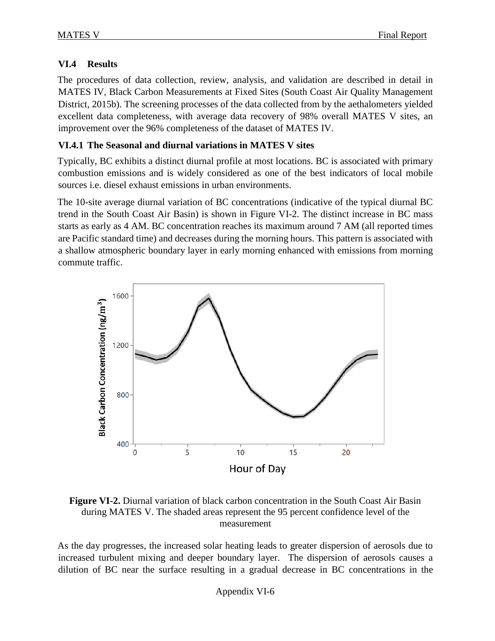## **VI.4 Results**

The procedures of data collection, review, analysis, and validation are described in detail in MATES IV, Black Carbon Measurements at Fixed Sites (South Coast Air Quality Management District, 2015b). The screening processes of the data collected from by the aethalometers yielded excellent data completeness, with average data recovery of 98% overall MATES V sites, an improvement over the 96% completeness of the dataset of MATES IV.

## **VI.4.1 The Seasonal and diurnal variations in MATES V sites**

Typically, BC exhibits a distinct diurnal profile at most locations. BC is associated with primary combustion emissions and is widely considered as one of the best indicators of local mobile sources i.e. diesel exhaust emissions in urban environments.

The 10-site average diurnal variation of BC concentrations (indicative of the typical diurnal BC trend in the South Coast Air Basin) is shown in Figure VI-2. The distinct increase in BC mass starts as early as 4 AM. BC concentration reaches its maximum around 7 AM (all reported times are Pacific standard time) and decreases during the morning hours. This pattern is associated with a shallow atmospheric boundary layer in early morning enhanced with emissions from morning commute traffic.



**Figure VI-2.** Diurnal variation of black carbon concentration in the South Coast Air Basin during MATES V. The shaded areas represent the 95 percent confidence level of the measurement

As the day progresses, the increased solar heating leads to greater dispersion of aerosols due to increased turbulent mixing and deeper boundary layer. The dispersion of aerosols causes a dilution of BC near the surface resulting in a gradual decrease in BC concentrations in the

Appendix VI-6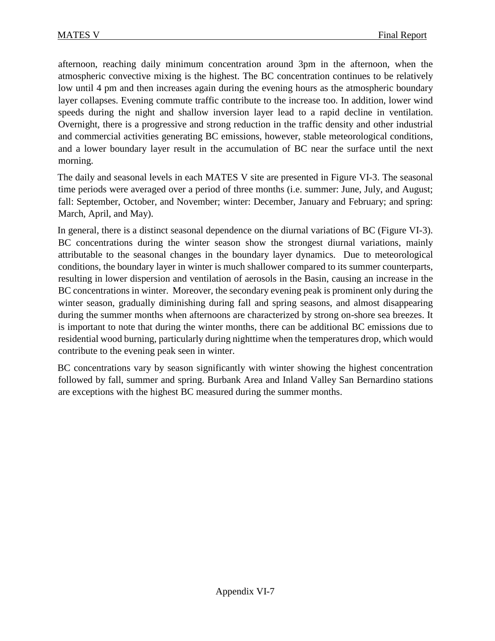afternoon, reaching daily minimum concentration around 3pm in the afternoon, when the atmospheric convective mixing is the highest. The BC concentration continues to be relatively low until 4 pm and then increases again during the evening hours as the atmospheric boundary layer collapses. Evening commute traffic contribute to the increase too. In addition, lower wind speeds during the night and shallow inversion layer lead to a rapid decline in ventilation. Overnight, there is a progressive and strong reduction in the traffic density and other industrial and commercial activities generating BC emissions, however, stable meteorological conditions, and a lower boundary layer result in the accumulation of BC near the surface until the next morning.

The daily and seasonal levels in each MATES V site are presented in Figure VI-3. The seasonal time periods were averaged over a period of three months (i.e. summer: June, July, and August; fall: September, October, and November; winter: December, January and February; and spring: March, April, and May).

In general, there is a distinct seasonal dependence on the diurnal variations of BC (Figure VI-3). BC concentrations during the winter season show the strongest diurnal variations, mainly attributable to the seasonal changes in the boundary layer dynamics. Due to meteorological conditions, the boundary layer in winter is much shallower compared to its summer counterparts, resulting in lower dispersion and ventilation of aerosols in the Basin, causing an increase in the BC concentrations in winter. Moreover, the secondary evening peak is prominent only during the winter season, gradually diminishing during fall and spring seasons, and almost disappearing during the summer months when afternoons are characterized by strong on-shore sea breezes. It is important to note that during the winter months, there can be additional BC emissions due to residential wood burning, particularly during nighttime when the temperatures drop, which would contribute to the evening peak seen in winter.

BC concentrations vary by season significantly with winter showing the highest concentration followed by fall, summer and spring. Burbank Area and Inland Valley San Bernardino stations are exceptions with the highest BC measured during the summer months.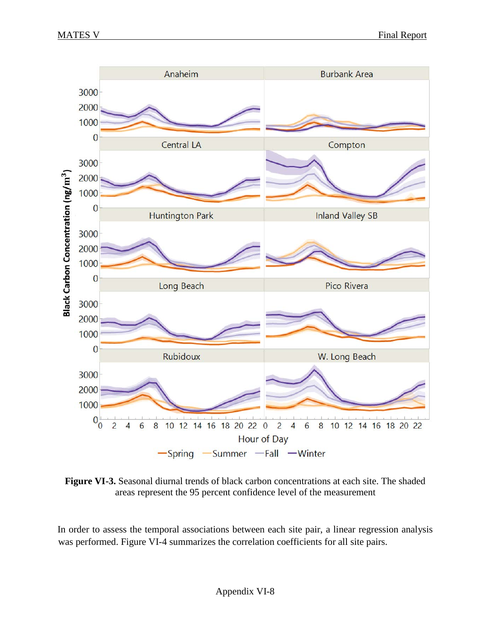

**Figure VI-3.** Seasonal diurnal trends of black carbon concentrations at each site. The shaded areas represent the 95 percent confidence level of the measurement

In order to assess the temporal associations between each site pair, a linear regression analysis was performed. Figure VI-4 summarizes the correlation coefficients for all site pairs.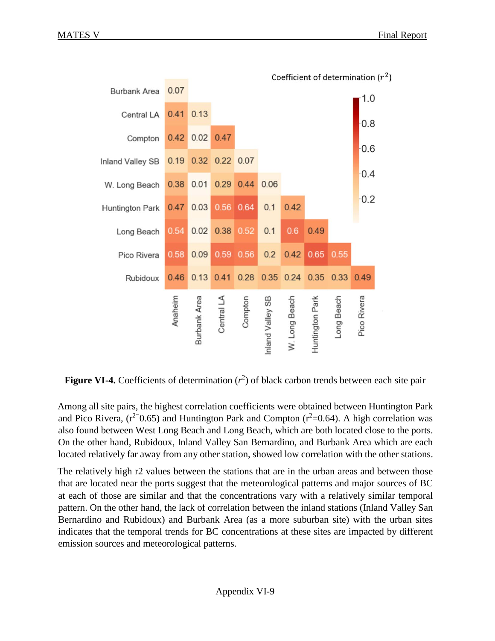

**Figure VI-4.** Coefficients of determination  $(r^2)$  of black carbon trends between each site pair

Among all site pairs, the highest correlation coefficients were obtained between Huntington Park and Pico Rivera,  $(r^{2}=0.65)$  and Huntington Park and Compton  $(r^{2}=0.64)$ . A high correlation was also found between West Long Beach and Long Beach, which are both located close to the ports. On the other hand, Rubidoux, Inland Valley San Bernardino, and Burbank Area which are each located relatively far away from any other station, showed low correlation with the other stations.

The relatively high r2 values between the stations that are in the urban areas and between those that are located near the ports suggest that the meteorological patterns and major sources of BC at each of those are similar and that the concentrations vary with a relatively similar temporal pattern. On the other hand, the lack of correlation between the inland stations (Inland Valley San Bernardino and Rubidoux) and Burbank Area (as a more suburban site) with the urban sites indicates that the temporal trends for BC concentrations at these sites are impacted by different emission sources and meteorological patterns.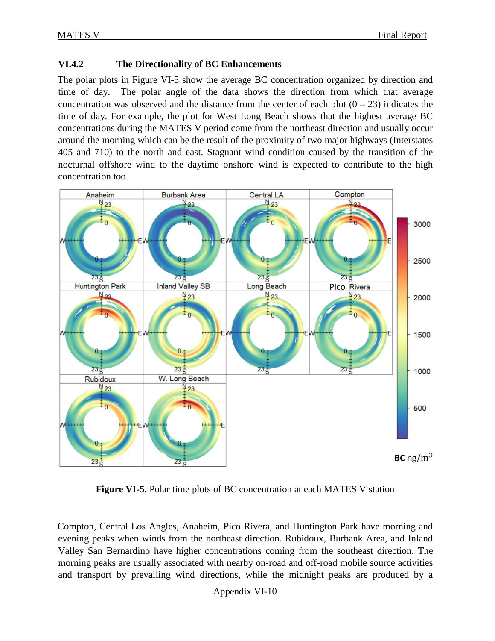#### **VI.4.2 The Directionality of BC Enhancements**

The polar plots in Figure VI-5 show the average BC concentration organized by direction and time of day. The polar angle of the data shows the direction from which that average concentration was observed and the distance from the center of each plot  $(0 - 23)$  indicates the time of day. For example, the plot for West Long Beach shows that the highest average BC concentrations during the MATES V period come from the northeast direction and usually occur around the morning which can be the result of the proximity of two major highways (Interstates 405 and 710) to the north and east. Stagnant wind condition caused by the transition of the nocturnal offshore wind to the daytime onshore wind is expected to contribute to the high concentration too.



**Figure VI-5.** Polar time plots of BC concentration at each MATES V station

Compton, Central Los Angles, Anaheim, Pico Rivera, and Huntington Park have morning and evening peaks when winds from the northeast direction. Rubidoux, Burbank Area, and Inland Valley San Bernardino have higher concentrations coming from the southeast direction. The morning peaks are usually associated with nearby on-road and off-road mobile source activities and transport by prevailing wind directions, while the midnight peaks are produced by a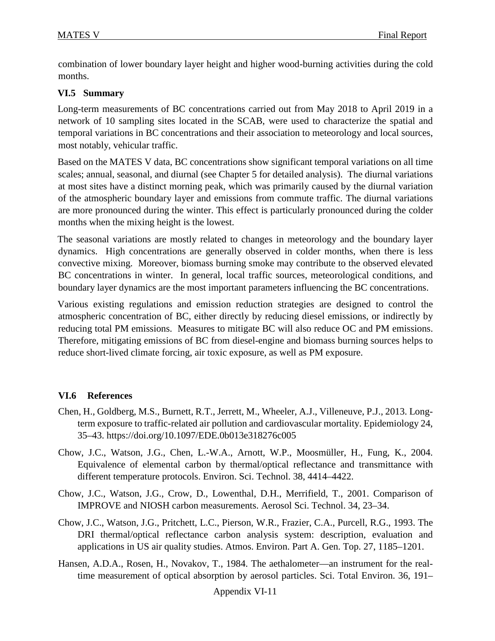combination of lower boundary layer height and higher wood-burning activities during the cold months.

## **VI.5 Summary**

Long-term measurements of BC concentrations carried out from May 2018 to April 2019 in a network of 10 sampling sites located in the SCAB, were used to characterize the spatial and temporal variations in BC concentrations and their association to meteorology and local sources, most notably, vehicular traffic.

Based on the MATES V data, BC concentrations show significant temporal variations on all time scales; annual, seasonal, and diurnal (see Chapter 5 for detailed analysis). The diurnal variations at most sites have a distinct morning peak, which was primarily caused by the diurnal variation of the atmospheric boundary layer and emissions from commute traffic. The diurnal variations are more pronounced during the winter. This effect is particularly pronounced during the colder months when the mixing height is the lowest.

The seasonal variations are mostly related to changes in meteorology and the boundary layer dynamics. High concentrations are generally observed in colder months, when there is less convective mixing. Moreover, biomass burning smoke may contribute to the observed elevated BC concentrations in winter. In general, local traffic sources, meteorological conditions, and boundary layer dynamics are the most important parameters influencing the BC concentrations.

Various existing regulations and emission reduction strategies are designed to control the atmospheric concentration of BC, either directly by reducing diesel emissions, or indirectly by reducing total PM emissions. Measures to mitigate BC will also reduce OC and PM emissions. Therefore, mitigating emissions of BC from diesel-engine and biomass burning sources helps to reduce short-lived climate forcing, air toxic exposure, as well as PM exposure.

## **VI.6 References**

- Chen, H., Goldberg, M.S., Burnett, R.T., Jerrett, M., Wheeler, A.J., Villeneuve, P.J., 2013. Longterm exposure to traffic-related air pollution and cardiovascular mortality. Epidemiology 24, 35–43. https://doi.org/10.1097/EDE.0b013e318276c005
- Chow, J.C., Watson, J.G., Chen, L.-W.A., Arnott, W.P., Moosmüller, H., Fung, K., 2004. Equivalence of elemental carbon by thermal/optical reflectance and transmittance with different temperature protocols. Environ. Sci. Technol. 38, 4414–4422.
- Chow, J.C., Watson, J.G., Crow, D., Lowenthal, D.H., Merrifield, T., 2001. Comparison of IMPROVE and NIOSH carbon measurements. Aerosol Sci. Technol. 34, 23–34.
- Chow, J.C., Watson, J.G., Pritchett, L.C., Pierson, W.R., Frazier, C.A., Purcell, R.G., 1993. The DRI thermal/optical reflectance carbon analysis system: description, evaluation and applications in US air quality studies. Atmos. Environ. Part A. Gen. Top. 27, 1185–1201.
- Hansen, A.D.A., Rosen, H., Novakov, T., 1984. The aethalometer—an instrument for the realtime measurement of optical absorption by aerosol particles. Sci. Total Environ. 36, 191–